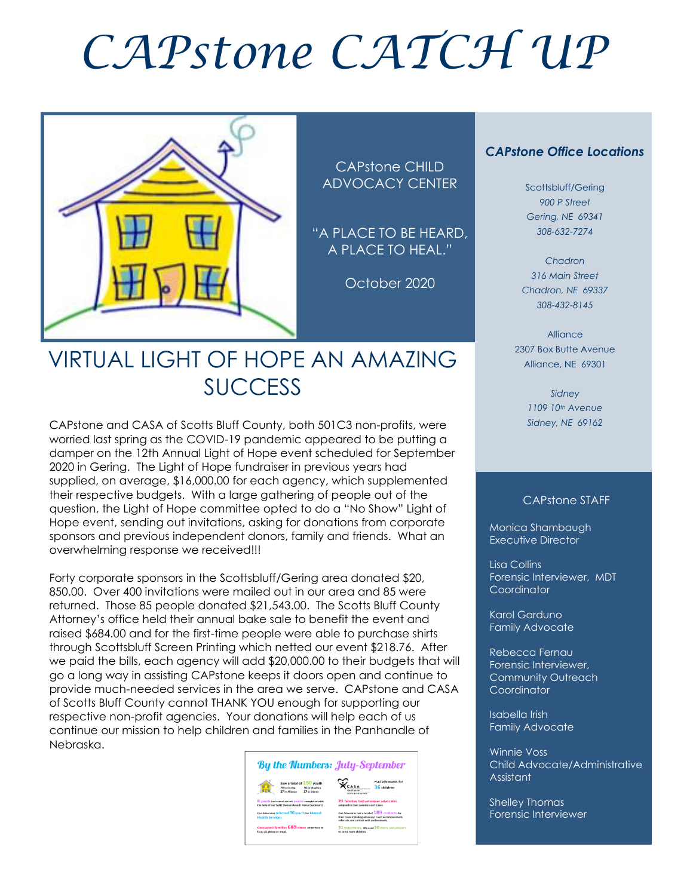# *CAPstone CATCH UP*



CAPstone CHILD ADVOCACY CENTER

"A PLACE TO BE HEARD, A PLACE TO HEAL."

October 2020

### VIRTUAL LIGHT OF HOPE AN AMAZING SUCCESS

CAPstone and CASA of Scotts Bluff County, both 501C3 non-profits, were worried last spring as the COVID-19 pandemic appeared to be putting a damper on the 12th Annual Light of Hope event scheduled for September 2020 in Gering. The Light of Hope fundraiser in previous years had supplied, on average, \$16,000.00 for each agency, which supplemented their respective budgets. With a large gathering of people out of the question, the Light of Hope committee opted to do a "No Show" Light of Hope event, sending out invitations, asking for donations from corporate sponsors and previous independent donors, family and friends. What an overwhelming response we received!!!

Forty corporate sponsors in the Scottsbluff/Gering area donated \$20, 850.00. Over 400 invitations were mailed out in our area and 85 were returned. Those 85 people donated \$21,543.00. The Scotts Bluff County Attorney's office held their annual bake sale to benefit the event and raised \$684.00 and for the first-time people were able to purchase shirts through Scottsbluff Screen Printing which netted our event \$218.76. After we paid the bills, each agency will add \$20,000.00 to their budgets that will go a long way in assisting CAPstone keeps it doors open and continue to provide much-needed services in the area we serve. CAPstone and CASA of Scotts Bluff County cannot THANK YOU enough for supporting our respective non-profit agencies. Your donations will help each of us continue our mission to help children and families in the Panhandle of Nebraska.



#### *CAPstone Office Locations*

Scottsbluff/Gering *900 P Street Gering, NE 69341 308-632-7274*

*Chadron 316 Main Street Chadron, NE 69337 308-432-8145*

Alliance 2307 Box Butte Avenue Alliance, NE 69301

> *Sidney 1109 10th Avenue Sidney, NE 69162*

#### CAPstone STAFF

Monica Shambaugh Executive Director

Lisa Collins Forensic Interviewer, MDT **Coordinator** 

Karol Garduno Family Advocate

Rebecca Fernau Forensic Interviewer, Community Outreach Coordinator

Isabella Irish Family Advocate

Winnie Voss Child Advocate/Administrative Assistant

Shelley Thomas Forensic Interviewer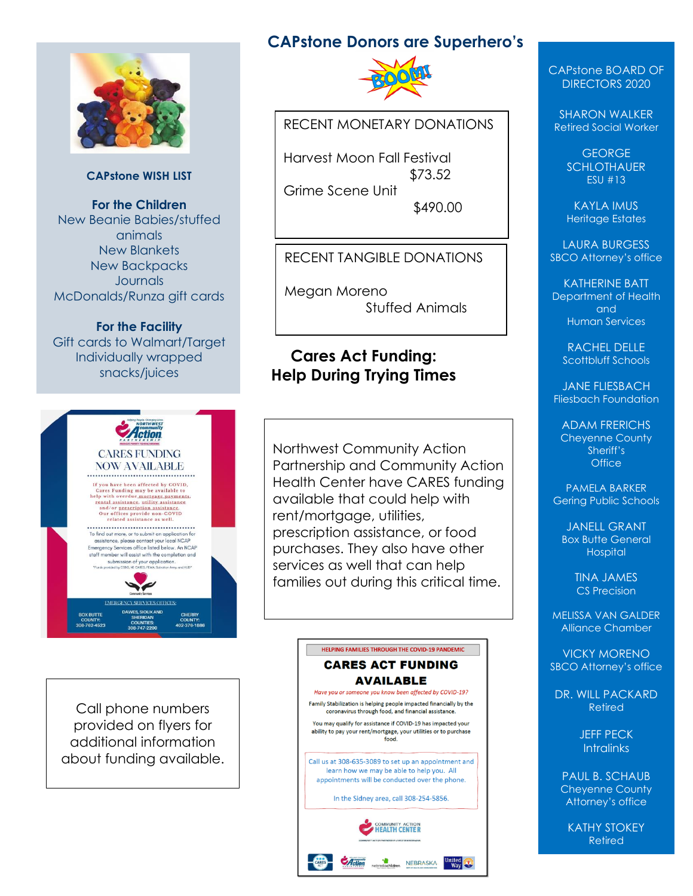

#### **CAPstone WISH LIST**

**For the Children** New Beanie Babies/stuffed animals New Blankets New Backpacks Journals McDonalds/Runza gift cards

**For the Facility** Gift cards to Walmart/Target Individually wrapped snacks/juices



Call phone numbers provided on flyers for additional information about funding available.

## **CAPstone Donors are Superhero's**



RECENT MONETARY DONATIONS

Harvest Moon Fall Festival \$73.52 Grime Scene Unit \$490.00

#### RECENT TANGIBLE DONATIONS

Megan Moreno Stuffed Animals

#### **Cares Act Funding: Help During Trying Times**

Northwest Community Action Partnership and Community Action Health Center have CARES funding available that could help with rent/mortgage, utilities, prescription assistance, or food purchases. They also have other services as well that can help families out during this critical time.

#### HELPING FAMILIES THROUGH THE COVID-19 PANDEMIC **CARES ACT FUNDING AVAILABLE** Have you or someone you know been affected by COVID-19? Family Stabilization is helping people impacted financially by the coronavirus through food, and financial assistance. You may qualify for assistance if COVID-19 has impacted your ability to pay your rent/mortgage, your utilities or to purchase food. Call us at 308-635-3089 to set up an appointment and learn how we may be able to help you. All appointments will be conducted over the phone. In the Sidney area, call 308-254-5856. **EALTH CENTER**

nebraskachildren NEBRASKA

 $\frac{m}{\text{Wav}}$ 

 $A$ ction

CAPstone BOARD OF DIRECTORS 2020

SHARON WALKER Retired Social Worker

> **GEORGE SCHLOTHAUER** ESU #13

> KAYLA IMUS Heritage Estates

LAURA BURGESS SBCO Attorney's office

KATHERINE BATT Department of Health and Human Services

RACHEL DELLE Scottbluff Schools

JANE FLIESBACH Fliesbach Foundation

ADAM FRERICHS Cheyenne County Sheriff's **Office** 

PAMELA BARKER Gering Public Schools

JANELL GRANT Box Butte General **Hospital** 

> TINA JAMES CS Precision

MELISSA VAN GALDER Alliance Chamber

VICKY MORENO SBCO Attorney's office

DR. WILL PACKARD Retired

> JEFF PECK **Intralinks**

PAUL B. SCHAUB Cheyenne County Attorney's office

KATHY STOKEY Retired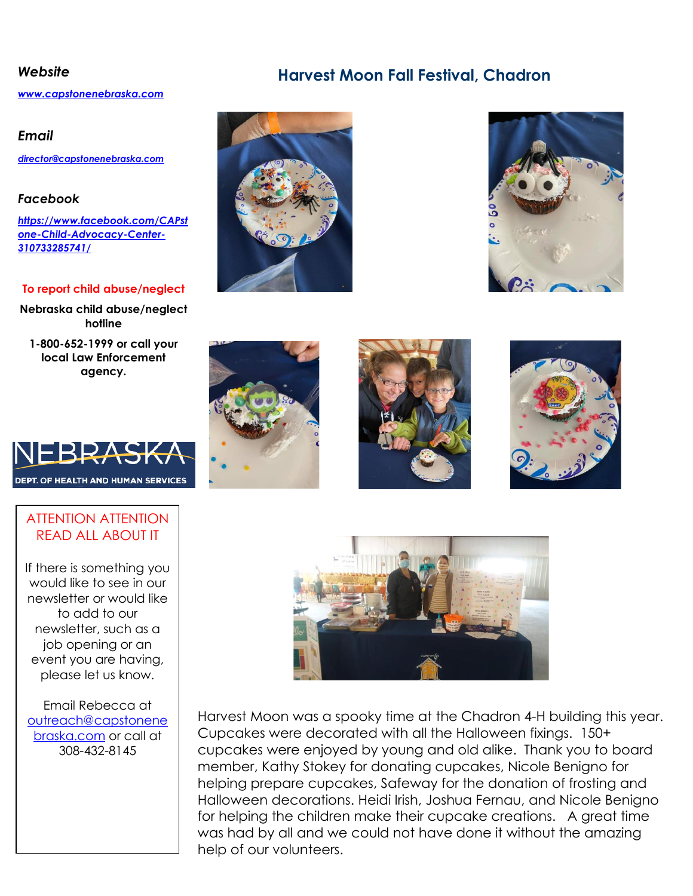#### *Website* **Harvest Moon Fall Festival, Chadron**

*[www.capstonenebraska.com](http://www.capstonenebraska.com/)*

#### *Email*

*[director@capstonenebraska.com](mailto:director@capstonenebraska.com)*

#### *Facebook*

*[https://www.facebook.com/CAPst](https://www.facebook.com/CAPstone-Child-Advocacy-Center-310733285741/) [one-Child-Advocacy-Center-](https://www.facebook.com/CAPstone-Child-Advocacy-Center-310733285741/)[310733285741/](https://www.facebook.com/CAPstone-Child-Advocacy-Center-310733285741/)*

#### **To report child abuse/neglect**

**Nebraska child abuse/neglect hotline**

**1-800-652-1999 or call your local Law Enforcement agency.**



#### ATTENTION ATTENTION READ ALL ABOUT IT

If there is something you would like to see in our newsletter or would like to add to our newsletter, such as a job opening or an event you are having, please let us know.

Email Rebecca at [outreach@capstonene](mailto:outreach@capstonenebraska.com) [braska.com](mailto:outreach@capstonenebraska.com) or call at 308-432-8145

Page 2













Harvest Moon was a spooky time at the Chadron 4-H building this year. Cupcakes were decorated with all the Halloween fixings. 150+ cupcakes were enjoyed by young and old alike. Thank you to board member, Kathy Stokey for donating cupcakes, Nicole Benigno for helping prepare cupcakes, Safeway for the donation of frosting and Halloween decorations. Heidi Irish, Joshua Fernau, and Nicole Benigno for helping the children make their cupcake creations. A great time was had by all and we could not have done it without the amazing help of our volunteers.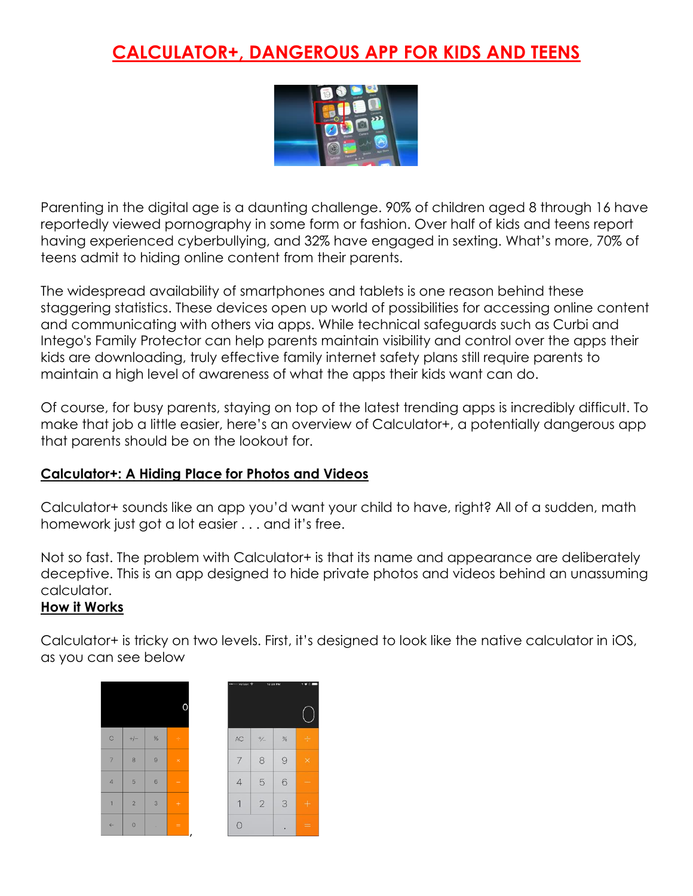### **CALCULATOR+, DANGEROUS APP FOR KIDS AND TEENS**



Parenting in the digital age is a daunting challenge. 90% of children aged 8 through 16 have reportedly viewed pornography in some form or fashion. Over half of kids and teens report having experienced cyberbullying, and 32% have engaged in sexting. What's more, 70% of teens admit to hiding online content from their parents.

The widespread availability of smartphones and tablets is one reason behind these staggering statistics. These devices open up world of possibilities for accessing online content and communicating with others via apps. While technical safeguards such as Curbi and Intego's Family Protector can help parents maintain visibility and control over the apps their kids are downloading, truly effective family internet safety plans still require parents to maintain a high level of awareness of what the apps their kids want can do.

Of course, for busy parents, staying on top of the latest trending apps is incredibly difficult. To make that job a little easier, here's an overview of Calculator+, a potentially dangerous app that parents should be on the lookout for.

#### **Calculator+: A Hiding Place for Photos and Videos**

Calculator+ sounds like an app you'd want your child to have, right? All of a sudden, math homework just got a lot easier . . . and it's free.

Not so fast. The problem with Calculator+ is that its name and appearance are deliberately deceptive. This is an app designed to hide private photos and videos behind an unassuming calculator.

#### **How it Works**

Calculator+ is tricky on two levels. First, it's designed to look like the native calculator in iOS, as you can see below

| $\mathbb C$    | $+/-$      | $\%$            | $\div$    |
|----------------|------------|-----------------|-----------|
| $\overline{7}$ | 8          | $\circ$         | $\times$  |
| $\overline{4}$ | 5          | $6\phantom{1}6$ |           |
| $\mathbf{1}$   | $\sqrt{2}$ | $\mathbf{3}$    | $\ddot{}$ |
| $\leftarrow$   | $\circ$    | ı               | =<br>ı    |

| ●● ODD Verizon |                | 12:28 PM | ×<br>7 |
|----------------|----------------|----------|--------|
|                |                |          |        |
| AC             | $^{+}/_{-}$    | %        | ÷      |
| 7              | 8              | $\Theta$ | ×      |
| $\overline{4}$ | 5              | 6        | -      |
| 1              | $\overline{2}$ | 3        | $+$    |
| $\overline{O}$ |                |          |        |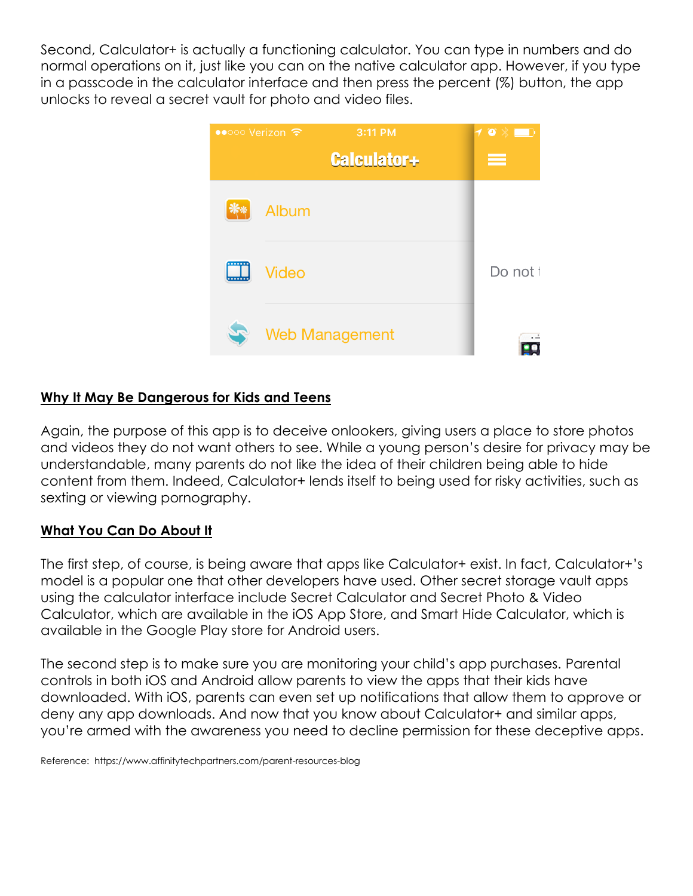Second, Calculator+ is actually a functioning calculator. You can type in numbers and do normal operations on it, just like you can on the native calculator app. However, if you type in a passcode in the calculator interface and then press the percent (%) button, the app unlocks to reveal a secret vault for photo and video files.



#### **Why It May Be Dangerous for Kids and Teens**

Again, the purpose of this app is to deceive onlookers, giving users a place to store photos and videos they do not want others to see. While a young person's desire for privacy may be understandable, many parents do not like the idea of their children being able to hide content from them. Indeed, Calculator+ lends itself to being used for risky activities, such as sexting or viewing pornography.

#### **What You Can Do About It**

The first step, of course, is being aware that apps like Calculator+ exist. In fact, Calculator+'s model is a popular one that other developers have used. Other secret storage vault apps using the calculator interface include Secret Calculator and Secret Photo & Video Calculator, which are available in the iOS App Store, and Smart Hide Calculator, which is available in the Google Play store for Android users.

The second step is to make sure you are monitoring your child's app purchases. Parental controls in both iOS and Android allow parents to view the apps that their kids have downloaded. With iOS, parents can even set up notifications that allow them to approve or deny any app downloads. And now that you know about Calculator+ and similar apps, you're armed with the awareness you need to decline permission for these deceptive apps.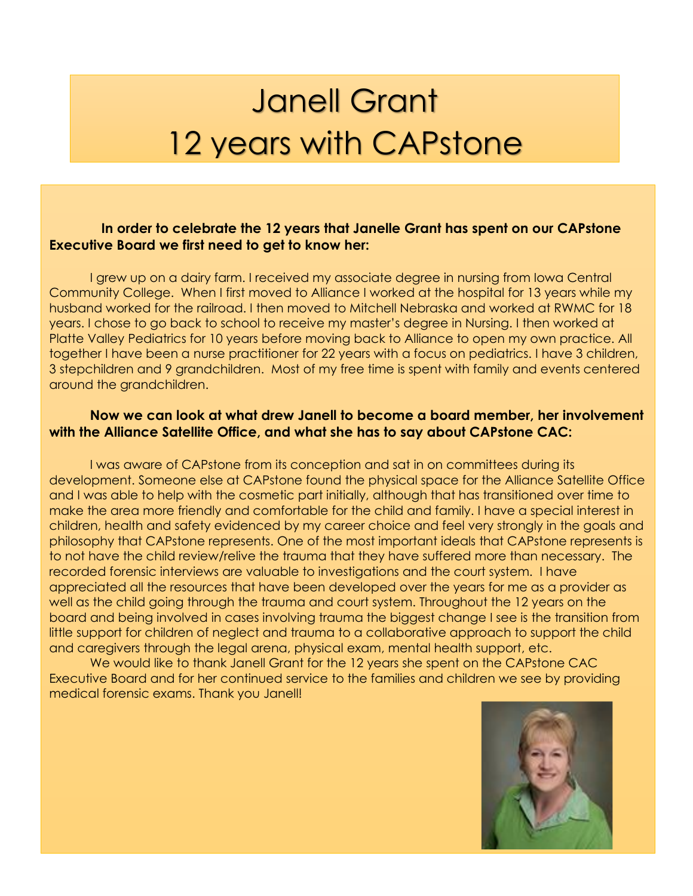## Janell Grant 12 years with CAPstone

#### **In order to celebrate the 12 years that Janelle Grant has spent on our CAPstone Executive Board we first need to get to know her:**

I grew up on a dairy farm. I received my associate degree in nursing from Iowa Central Community College. When I first moved to Alliance I worked at the hospital for 13 years while my husband worked for the railroad. I then moved to Mitchell Nebraska and worked at RWMC for 18 years. I chose to go back to school to receive my master's degree in Nursing. I then worked at Platte Valley Pediatrics for 10 years before moving back to Alliance to open my own practice. All together I have been a nurse practitioner for 22 years with a focus on pediatrics. I have 3 children, 3 stepchildren and 9 grandchildren. Most of my free time is spent with family and events centered around the grandchildren.

#### **Now we can look at what drew Janell to become a board member, her involvement with the Alliance Satellite Office, and what she has to say about CAPstone CAC:**

I was aware of CAPstone from its conception and sat in on committees during its development. Someone else at CAPstone found the physical space for the Alliance Satellite Office and I was able to help with the cosmetic part initially, although that has transitioned over time to make the area more friendly and comfortable for the child and family. I have a special interest in children, health and safety evidenced by my career choice and feel very strongly in the goals and philosophy that CAPstone represents. One of the most important ideals that CAPstone represents is to not have the child review/relive the trauma that they have suffered more than necessary. The recorded forensic interviews are valuable to investigations and the court system. I have appreciated all the resources that have been developed over the years for me as a provider as well as the child going through the trauma and court system. Throughout the 12 years on the board and being involved in cases involving trauma the biggest change I see is the transition from little support for children of neglect and trauma to a collaborative approach to support the child and caregivers through the legal arena, physical exam, mental health support, etc.

We would like to thank Janell Grant for the 12 years she spent on the CAPstone CAC Executive Board and for her continued service to the families and children we see by providing medical forensic exams. Thank you Janell!

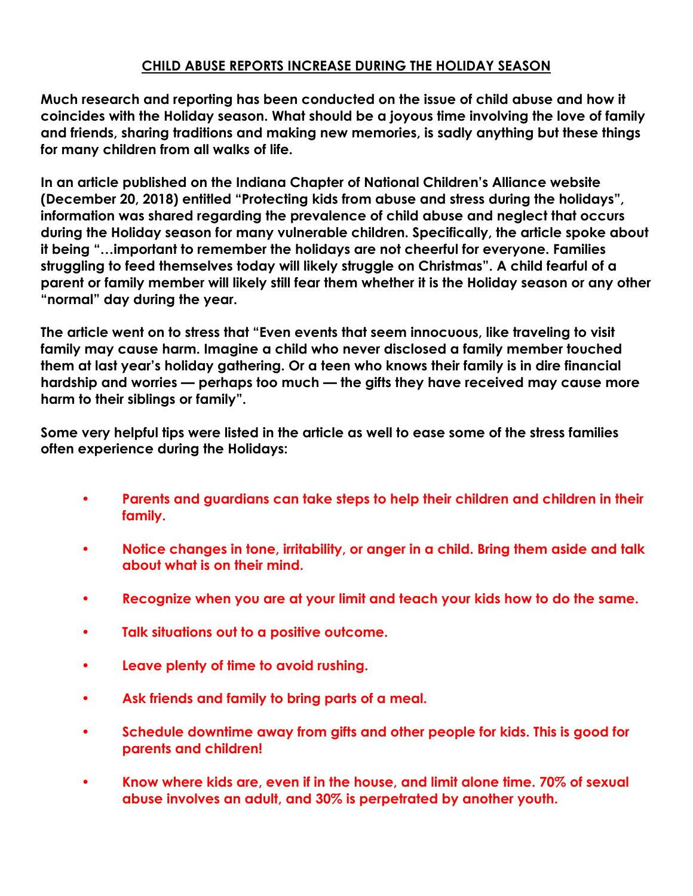#### **CHILD ABUSE REPORTS INCREASE DURING THE HOLIDAY SEASON**

**Much research and reporting has been conducted on the issue of child abuse and how it coincides with the Holiday season. What should be a joyous time involving the love of family and friends, sharing traditions and making new memories, is sadly anything but these things for many children from all walks of life.**

**In an article published on the Indiana Chapter of National Children's Alliance website (December 20, 2018) entitled "Protecting kids from abuse and stress during the holidays", information was shared regarding the prevalence of child abuse and neglect that occurs during the Holiday season for many vulnerable children. Specifically, the article spoke about it being "…important to remember the holidays are not cheerful for everyone. Families struggling to feed themselves today will likely struggle on Christmas". A child fearful of a parent or family member will likely still fear them whether it is the Holiday season or any other "normal" day during the year.** 

**The article went on to stress that "Even events that seem innocuous, like traveling to visit family may cause harm. Imagine a child who never disclosed a family member touched them at last year's holiday gathering. Or a teen who knows their family is in dire financial hardship and worries — perhaps too much — the gifts they have received may cause more harm to their siblings or family".**

**Some very helpful tips were listed in the article as well to ease some of the stress families often experience during the Holidays:**

- **• Parents and guardians can take steps to help their children and children in their family.**
- **• Notice changes in tone, irritability, or anger in a child. Bring them aside and talk about what is on their mind.**
- **• Recognize when you are at your limit and teach your kids how to do the same.**
- **• Talk situations out to a positive outcome.**
- **• Leave plenty of time to avoid rushing.**
- **• Ask friends and family to bring parts of a meal.**
- **• Schedule downtime away from gifts and other people for kids. This is good for parents and children!**
- **• Know where kids are, even if in the house, and limit alone time. 70% of sexual abuse involves an adult, and 30% is perpetrated by another youth.**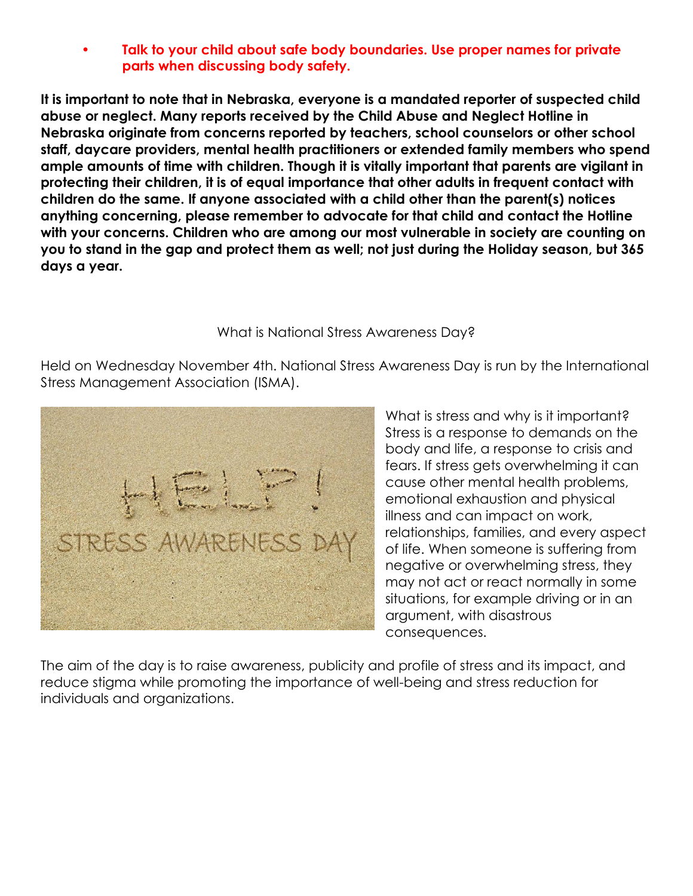**• Talk to your child about safe body boundaries. Use proper names for private parts when discussing body safety.**

**It is important to note that in Nebraska, everyone is a mandated reporter of suspected child abuse or neglect. Many reports received by the Child Abuse and Neglect Hotline in Nebraska originate from concerns reported by teachers, school counselors or other school staff, daycare providers, mental health practitioners or extended family members who spend ample amounts of time with children. Though it is vitally important that parents are vigilant in protecting their children, it is of equal importance that other adults in frequent contact with children do the same. If anyone associated with a child other than the parent(s) notices anything concerning, please remember to advocate for that child and contact the Hotline with your concerns. Children who are among our most vulnerable in society are counting on you to stand in the gap and protect them as well; not just during the Holiday season, but 365 days a year.** 

#### What is National Stress Awareness Day?

Held on Wednesday November 4th. National Stress Awareness Day is run by the International Stress Management Association (ISMA).



What is stress and why is it important? Stress is a response to demands on the body and life, a response to crisis and fears. If stress gets overwhelming it can cause other mental health problems, emotional exhaustion and physical illness and can impact on work, relationships, families, and every aspect of life. When someone is suffering from negative or overwhelming stress, they may not act or react normally in some situations, for example driving or in an argument, with disastrous consequences.

The aim of the day is to raise awareness, publicity and profile of stress and its impact, and reduce stigma while promoting the importance of well-being and stress reduction for individuals and organizations.